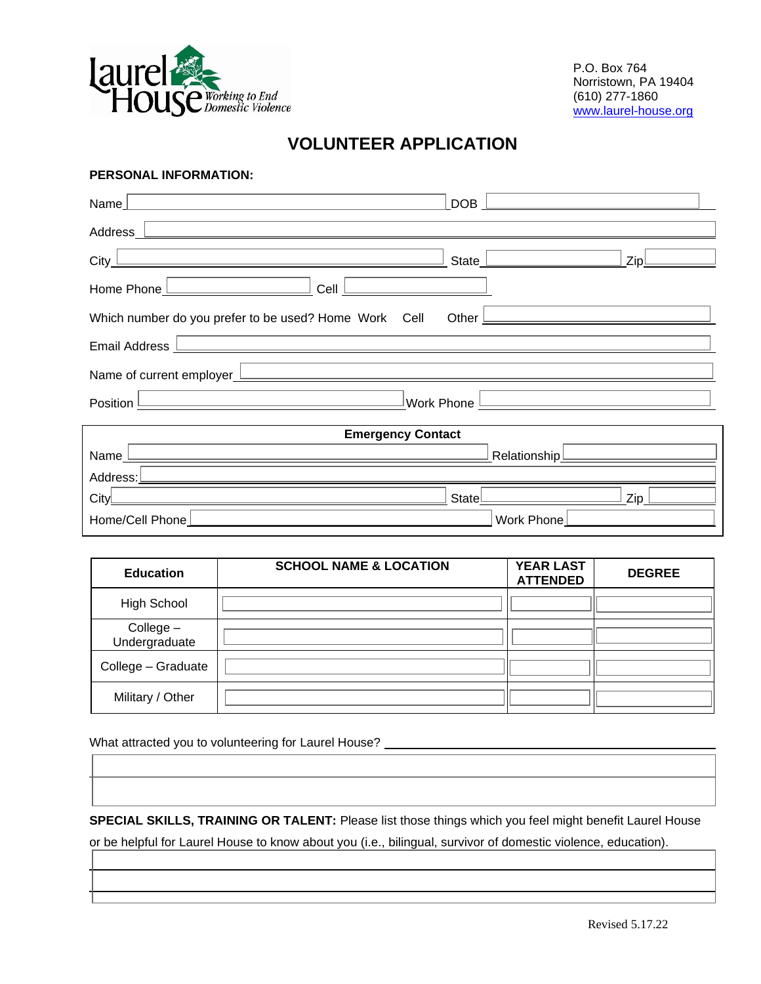

P.O. Box 764 Norristown, PA 19404 (610) 277-1860 [www.laurel-house.org](http://www.laurel-house.org/)

# **VOLUNTEER APPLICATION**

### **PERSONAL INFORMATION:**

| Name                                                                                                                             | <b>DOB</b><br>the control of the control of the control of the control of the control of |  |  |  |  |
|----------------------------------------------------------------------------------------------------------------------------------|------------------------------------------------------------------------------------------|--|--|--|--|
| Address<br><u> 1989 - Johann Stoff, deutscher Stoff, der Stoff, der Stoff, der Stoff, der Stoff, der Stoff, der Stoff, der S</u> |                                                                                          |  |  |  |  |
| City<br><u> 1980 - Johann Barbara, martxa alemaniar argumento este alemaniar alemaniar alemaniar alemaniar alemaniar a</u>       | ZipL<br>State <u>  _________________</u>                                                 |  |  |  |  |
| Cell<br>Home Phone                                                                                                               |                                                                                          |  |  |  |  |
|                                                                                                                                  |                                                                                          |  |  |  |  |
| Email Address <b>Learn Communication</b> Contract and Communication Communication Communication Communication Communication      |                                                                                          |  |  |  |  |
|                                                                                                                                  |                                                                                          |  |  |  |  |
| <u> 1980 - Johann Barn, mars ann an t-Amhain Aonaich an t-Aonaich an t-Aonaich ann an t-Aonaich ann an t-Aonaich</u><br>Position |                                                                                          |  |  |  |  |
| <b>Emergency Contact</b>                                                                                                         |                                                                                          |  |  |  |  |

| <b>Emergency Contact</b> |                |  |  |  |  |
|--------------------------|----------------|--|--|--|--|
| Name                     | Relationship L |  |  |  |  |
| Address:                 |                |  |  |  |  |
| Cityl                    | Zin<br>Statel  |  |  |  |  |
| Home/Cell Phone          | Work Phone     |  |  |  |  |

| <b>Education</b>           | <b>SCHOOL NAME &amp; LOCATION</b> | <b>YEAR LAST</b><br><b>ATTENDED</b> | <b>DEGREE</b> |
|----------------------------|-----------------------------------|-------------------------------------|---------------|
| High School                |                                   |                                     |               |
| College -<br>Undergraduate |                                   |                                     |               |
| College - Graduate         |                                   |                                     |               |
| Military / Other           |                                   |                                     |               |

What attracted you to volunteering for Laurel House?

**SPECIAL SKILLS, TRAINING OR TALENT:** Please list those things which you feel might benefit Laurel House

or be helpful for Laurel House to know about you (i.e., bilingual, survivor of domestic violence, education).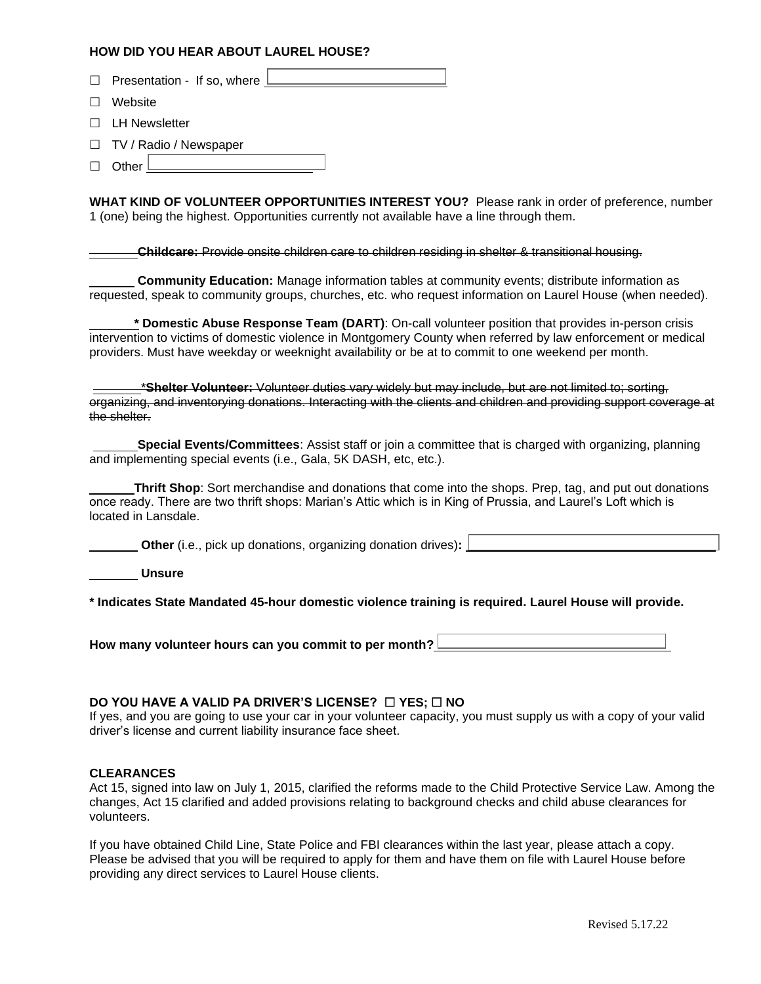### **HOW DID YOU HEAR ABOUT LAUREL HOUSE?**

| HOW DID YOU HEAR ABOUT LAUREL HOUSE?                                                                                                                                                                                                                                                                                     |
|--------------------------------------------------------------------------------------------------------------------------------------------------------------------------------------------------------------------------------------------------------------------------------------------------------------------------|
| Presentation - If so, where $\lfloor$                                                                                                                                                                                                                                                                                    |
| Website                                                                                                                                                                                                                                                                                                                  |
| <b>LH Newsletter</b>                                                                                                                                                                                                                                                                                                     |
| TV / Radio / Newspaper<br>Other                                                                                                                                                                                                                                                                                          |
| WHAT KIND OF VOLUNTEER OPPORTUNITIES INTEREST YOU? Please rank in order of preference, number<br>1 (one) being the highest. Opportunities currently not available have a line through them.                                                                                                                              |
| <b>Childcare:</b> Provide onsite children care to children residing in shelter & transitional housing.                                                                                                                                                                                                                   |
| <b>Community Education:</b> Manage information tables at community events; distribute information as<br>requested, speak to community groups, churches, etc. who request information on Laurel House (when needed).                                                                                                      |
| * Domestic Abuse Response Team (DART): On-call volunteer position that provides in-person crisis<br>intervention to victims of domestic violence in Montgomery County when referred by law enforcement or medical<br>providers. Must have weekday or weeknight availability or be at to commit to one weekend per month. |
| *Shelter Volunteer: Volunteer duties vary widely but may include, but are not limited to; sorting,<br>organizing, and inventorying donations. Interacting with the clients and children and providing support coverage at<br>the shelter.                                                                                |

|  |                                                                   |  |  | Special Events/Committees: Assist staff or join a committee that is charged with organizing, planning |  |
|--|-------------------------------------------------------------------|--|--|-------------------------------------------------------------------------------------------------------|--|
|  | and implementing special events (i.e., Gala, 5K DASH, etc, etc.). |  |  |                                                                                                       |  |

**Thrift Shop**: Sort merchandise and donations that come into the shops. Prep, tag, and put out donations once ready. There are two thrift shops: Marian's Attic which is in King of Prussia, and Laurel's Loft which is located in Lansdale.

| <b>Other</b> (i.e., pick up donations, organizing donation drives): $\frac{1}{2}$ |
|-----------------------------------------------------------------------------------|
| <b>Unsure</b>                                                                     |

**\* Indicates State Mandated 45-hour domestic violence training is required. Laurel House will provide.** 

**How many volunteer hours can you commit to per month?**

### **DO YOU HAVE A VALID PA DRIVER'S LICENSE?** □ YES; □ NO

If yes, and you are going to use your car in your volunteer capacity, you must supply us with a copy of your valid driver's license and current liability insurance face sheet.

#### **CLEARANCES**

Act 15, signed into law on July 1, 2015, clarified the reforms made to the Child Protective Service Law. Among the changes, Act 15 clarified and added provisions relating to background checks and child abuse clearances for volunteers.

If you have obtained Child Line, State Police and FBI clearances within the last year, please attach a copy. Please be advised that you will be required to apply for them and have them on file with Laurel House before providing any direct services to Laurel House clients.